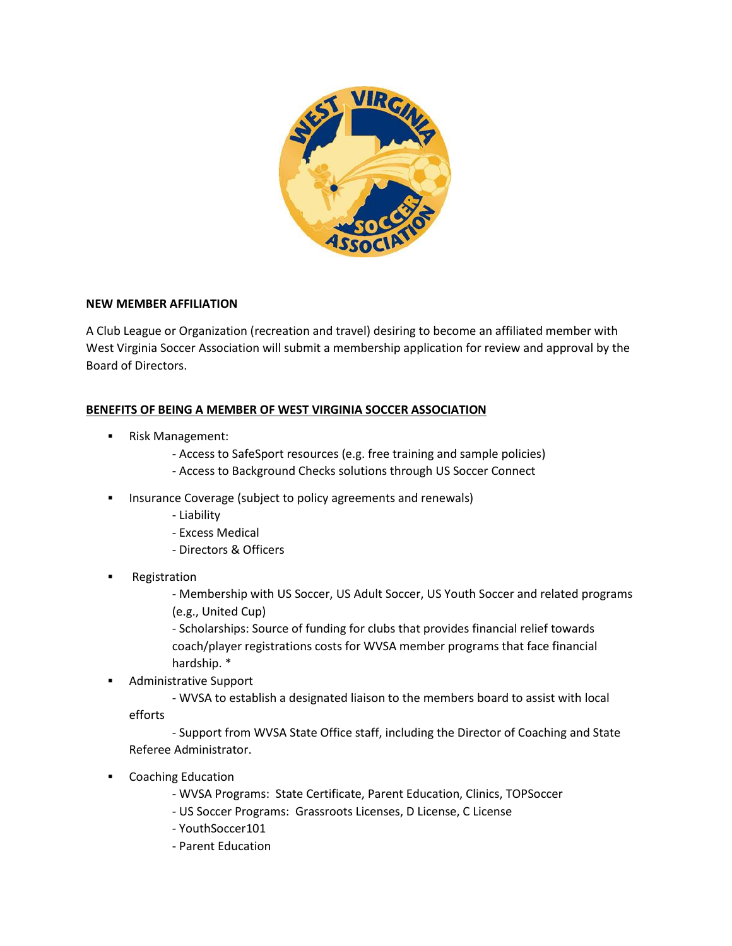

## **NEW MEMBER AFFILIATION**

A Club League or Organization (recreation and travel) desiring to become an affiliated member with West Virginia Soccer Association will submit a membership application for review and approval by the Board of Directors.

## **BENEFITS OF BEING A MEMBER OF WEST VIRGINIA SOCCER ASSOCIATION**

- Risk Management:
	- Access to SafeSport resources (e.g. free training and sample policies)
	- Access to Background Checks solutions through US Soccer Connect
- Insurance Coverage (subject to policy agreements and renewals)
	- Liability
	- Excess Medical
	- Directors & Officers
- Registration

- Membership with US Soccer, US Adult Soccer, US Youth Soccer and related programs (e.g., United Cup)

- Scholarships: Source of funding for clubs that provides financial relief towards coach/player registrations costs for WVSA member programs that face financial hardship. \*

Administrative Support

- WVSA to establish a designated liaison to the members board to assist with local efforts

- Support from WVSA State Office staff, including the Director of Coaching and State Referee Administrator.

- Coaching Education
	- WVSA Programs: State Certificate, Parent Education, Clinics, TOPSoccer
	- US Soccer Programs: Grassroots Licenses, D License, C License
	- YouthSoccer101
	- Parent Education